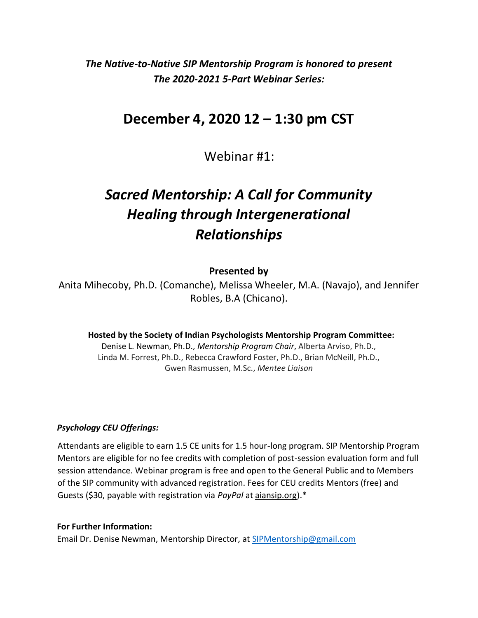*The Native-to-Native SIP Mentorship Program is honored to present The 2020-2021 5-Part Webinar Series:*

# **December 4, 2020 12 – 1:30 pm CST**

Webinar #1:

# *Sacred Mentorship: A Call for Community Healing through Intergenerational Relationships*

# **Presented by**

Anita Mihecoby, Ph.D. (Comanche), Melissa Wheeler, M.A. (Navajo), and Jennifer Robles, B.A (Chicano).

**Hosted by the Society of Indian Psychologists Mentorship Program Committee:**

Denise L. Newman, Ph.D., *Mentorship Program Chair*, Alberta Arviso, Ph.D., Linda M. Forrest, Ph.D., Rebecca Crawford Foster, Ph.D., Brian McNeill, Ph.D., Gwen Rasmussen, M.Sc., *Mentee Liaison*

### *Psychology CEU Offerings:*

Attendants are eligible to earn 1.5 CE units for 1.5 hour-long program. SIP Mentorship Program Mentors are eligible for no fee credits with completion of post-session evaluation form and full session attendance. Webinar program is free and open to the General Public and to Members of the SIP community with advanced registration. Fees for CEU credits Mentors (free) and Guests (\$30, payable with registration via *PayPal* at aiansip.org).\*

#### **For Further Information:**

Email Dr. Denise Newman, Mentorship Director, at [SIPMentorship@gmail.com](mailto:SIPMentorship@gmail.com)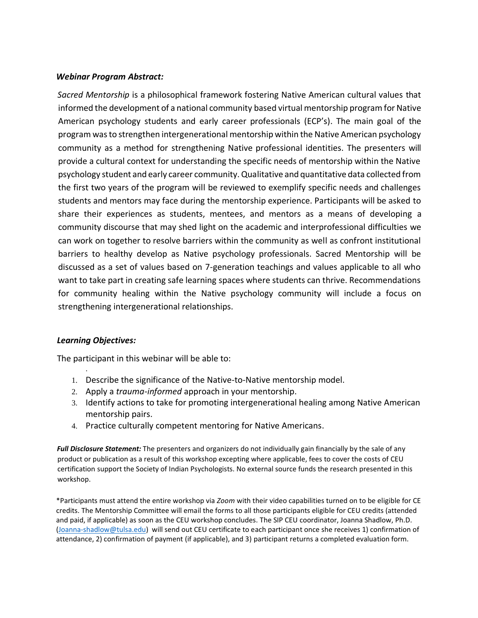## *Webinar Program Abstract:*

*Sacred Mentorship* is a philosophical framework fostering Native American cultural values that informed the development of a national community based virtual mentorship program for Native American psychology students and early career professionals (ECP's). The main goal of the program wasto strengthen intergenerational mentorship within the Native American psychology community as a method for strengthening Native professional identities. The presenters will provide a cultural context for understanding the specific needs of mentorship within the Native psychology student and early career community. Qualitative and quantitative data collected from the first two years of the program will be reviewed to exemplify specific needs and challenges students and mentors may face during the mentorship experience. Participants will be asked to share their experiences as students, mentees, and mentors as a means of developing a community discourse that may shed light on the academic and interprofessional difficulties we can work on together to resolve barriers within the community as well as confront institutional barriers to healthy develop as Native psychology professionals. Sacred Mentorship will be discussed as a set of values based on 7-generation teachings and values applicable to all who want to take part in creating safe learning spaces where students can thrive. Recommendations for community healing within the Native psychology community will include a focus on strengthening intergenerational relationships.

# *Learning Objectives:*

.

The participant in this webinar will be able to:

- 1. Describe the significance of the Native-to-Native mentorship model.
- 2. Apply a *trauma-informed* approach in your mentorship.
- 3. Identify actions to take for promoting intergenerational healing among Native American mentorship pairs.
- 4. Practice culturally competent mentoring for Native Americans.

*Full Disclosure Statement:* The presenters and organizers do not individually gain financially by the sale of any product or publication as a result of this workshop excepting where applicable, fees to cover the costs of CEU certification support the Society of Indian Psychologists. No external source funds the research presented in this workshop.

\*Participants must attend the entire workshop via *Zoom* with their video capabilities turned on to be eligible for CE credits. The Mentorship Committee will email the forms to all those participants eligible for CEU credits (attended and paid, if applicable) as soon as the CEU workshop concludes. The SIP CEU coordinator, Joanna Shadlow, Ph.D. [\(Joanna-shadlow@tulsa.edu\)](mailto:Joanna-shadlow@tulsa.edu) will send out CEU certificate to each participant once she receives 1) confirmation of attendance, 2) confirmation of payment (if applicable), and 3) participant returns a completed evaluation form.